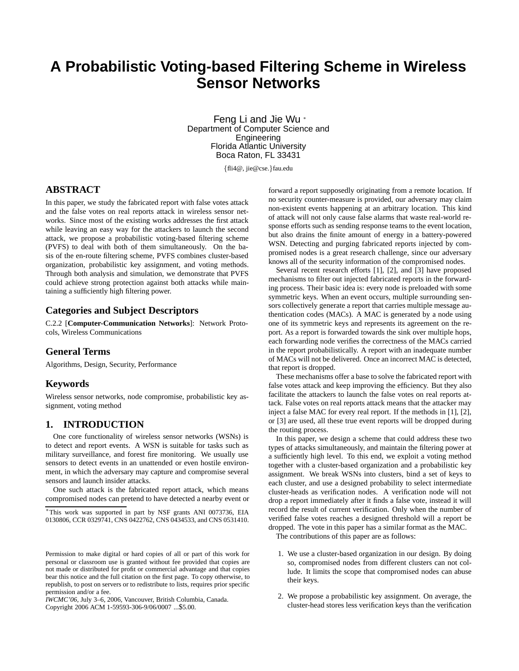# **A Probabilistic Voting-based Filtering Scheme in Wireless Sensor Networks**

Feng Li and Jie Wu <sup>∗</sup> Department of Computer Science and **Engineering** Florida Atlantic University Boca Raton, FL 33431

*{*fli4@, jie@cse.*}*fau.edu

## **ABSTRACT**

In this paper, we study the fabricated report with false votes attack and the false votes on real reports attack in wireless sensor networks. Since most of the existing works addresses the first attack while leaving an easy way for the attackers to launch the second attack, we propose a probabilistic voting-based filtering scheme (PVFS) to deal with both of them simultaneously. On the basis of the en-route filtering scheme, PVFS combines cluster-based organization, probabilistic key assignment, and voting methods. Through both analysis and simulation, we demonstrate that PVFS could achieve strong protection against both attacks while maintaining a sufficiently high filtering power.

## **Categories and Subject Descriptors**

C.2.2 [**Computer-Communication Networks**]: Network Protocols, Wireless Communications

#### **General Terms**

Algorithms, Design, Security, Performance

#### **Keywords**

Wireless sensor networks, node compromise, probabilistic key assignment, voting method

## **1. INTRODUCTION**

One core functionality of wireless sensor networks (WSNs) is to detect and report events. A WSN is suitable for tasks such as military surveillance, and forest fire monitoring. We usually use sensors to detect events in an unattended or even hostile environment, in which the adversary may capture and compromise several sensors and launch insider attacks.

One such attack is the fabricated report attack, which means compromised nodes can pretend to have detected a nearby event or

*IWCMC'06,* July 3–6, 2006, Vancouver, British Columbia, Canada. Copyright 2006 ACM 1-59593-306-9/06/0007 ...\$5.00.

forward a report supposedly originating from a remote location. If no security counter-measure is provided, our adversary may claim non-existent events happening at an arbitrary location. This kind of attack will not only cause false alarms that waste real-world response efforts such as sending response teams to the event location, but also drains the finite amount of energy in a battery-powered WSN. Detecting and purging fabricated reports injected by compromised nodes is a great research challenge, since our adversary knows all of the security information of the compromised nodes.

Several recent research efforts [1], [2], and [3] have proposed mechanisms to filter out injected fabricated reports in the forwarding process. Their basic idea is: every node is preloaded with some symmetric keys. When an event occurs, multiple surrounding sensors collectively generate a report that carries multiple message authentication codes (MACs). A MAC is generated by a node using one of its symmetric keys and represents its agreement on the report. As a report is forwarded towards the sink over multiple hops, each forwarding node verifies the correctness of the MACs carried in the report probabilistically. A report with an inadequate number of MACs will not be delivered. Once an incorrect MAC is detected, that report is dropped.

These mechanisms offer a base to solve the fabricated report with false votes attack and keep improving the efficiency. But they also facilitate the attackers to launch the false votes on real reports attack. False votes on real reports attack means that the attacker may inject a false MAC for every real report. If the methods in [1], [2], or [3] are used, all these true event reports will be dropped during the routing process.

In this paper, we design a scheme that could address these two types of attacks simultaneously, and maintain the filtering power at a sufficiently high level. To this end, we exploit a voting method together with a cluster-based organization and a probabilistic key assignment. We break WSNs into clusters, bind a set of keys to each cluster, and use a designed probability to select intermediate cluster-heads as verification nodes. A verification node will not drop a report immediately after it finds a false vote, instead it will record the result of current verification. Only when the number of verified false votes reaches a designed threshold will a report be dropped. The vote in this paper has a similar format as the MAC.

The contributions of this paper are as follows:

- 1. We use a cluster-based organization in our design. By doing so, compromised nodes from different clusters can not collude. It limits the scope that compromised nodes can abuse their keys.
- 2. We propose a probabilistic key assignment. On average, the cluster-head stores less verification keys than the verification

<sup>∗</sup>This work was supported in part by NSF grants ANI 0073736, EIA 0130806, CCR 0329741, CNS 0422762, CNS 0434533, and CNS 0531410.

Permission to make digital or hard copies of all or part of this work for personal or classroom use is granted without fee provided that copies are not made or distributed for profit or commercial advantage and that copies bear this notice and the full citation on the first page. To copy otherwise, to republish, to post on servers or to redistribute to lists, requires prior specific permission and/or a fee.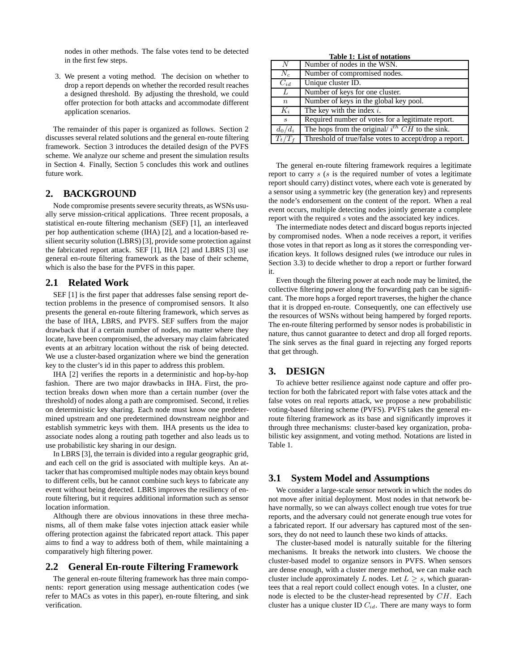nodes in other methods. The false votes tend to be detected in the first few steps.

3. We present a voting method. The decision on whether to drop a report depends on whether the recorded result reaches a designed threshold. By adjusting the threshold, we could offer protection for both attacks and accommodate different application scenarios.

The remainder of this paper is organized as follows. Section 2 discusses several related solutions and the general en-route filtering framework. Section 3 introduces the detailed design of the PVFS scheme. We analyze our scheme and present the simulation results in Section 4. Finally, Section 5 concludes this work and outlines future work.

## **2. BACKGROUND**

Node compromise presents severe security threats, as WSNs usually serve mission-critical applications. Three recent proposals, a statistical en-route filtering mechanism (SEF) [1], an interleaved per hop authentication scheme (IHA) [2], and a location-based resilient security solution (LBRS) [3], provide some protection against the fabricated report attack. SEF [1], IHA [2] and LBRS [3] use general en-route filtering framework as the base of their scheme, which is also the base for the PVFS in this paper.

#### **2.1 Related Work**

SEF [1] is the first paper that addresses false sensing report detection problems in the presence of compromised sensors. It also presents the general en-route filtering framework, which serves as the base of IHA, LBRS, and PVFS. SEF suffers from the major drawback that if a certain number of nodes, no matter where they locate, have been compromised, the adversary may claim fabricated events at an arbitrary location without the risk of being detected. We use a cluster-based organization where we bind the generation key to the cluster's id in this paper to address this problem.

IHA [2] verifies the reports in a deterministic and hop-by-hop fashion. There are two major drawbacks in IHA. First, the protection breaks down when more than a certain number (over the threshold) of nodes along a path are compromised. Second, it relies on deterministic key sharing. Each node must know one predetermined upstream and one predetermined downstream neighbor and establish symmetric keys with them. IHA presents us the idea to associate nodes along a routing path together and also leads us to use probabilistic key sharing in our design.

In LBRS [3], the terrain is divided into a regular geographic grid, and each cell on the grid is associated with multiple keys. An attacker that has compromised multiple nodes may obtain keys bound to different cells, but he cannot combine such keys to fabricate any event without being detected. LBRS improves the resiliency of enroute filtering, but it requires additional information such as sensor location information.

Although there are obvious innovations in these three mechanisms, all of them make false votes injection attack easier while offering protection against the fabricated report attack. This paper aims to find a way to address both of them, while maintaining a comparatively high filtering power.

#### **2.2 General En-route Filtering Framework**

The general en-route filtering framework has three main components: report generation using message authentication codes (we refer to MACs as votes in this paper), en-route filtering, and sink verification.

**Table 1: List of notations**

| N                | Number of nodes in the WSN.                            |
|------------------|--------------------------------------------------------|
| $N_c$            | Number of compromised nodes.                           |
| $C_{id}$         | Unique cluster ID.                                     |
| L                | Number of keys for one cluster.                        |
| $\boldsymbol{n}$ | Number of keys in the global key pool.                 |
| $K_i$            | The key with the index $i$ .                           |
| $\mathcal{S}$    | Required number of votes for a legitimate report.      |
| $d_0/d_i$        | The hops from the original/ $i^{th} CH$ to the sink.   |
| $T_t/T_f$        | Threshold of true/false votes to accept/drop a report. |

The general en-route filtering framework requires a legitimate report to carry *s* (*s* is the required number of votes a legitimate report should carry) distinct votes, where each vote is generated by a sensor using a symmetric key (the generation key) and represents the node's endorsement on the content of the report. When a real event occurs, multiple detecting nodes jointly generate a complete report with the required *s* votes and the associated key indices.

The intermediate nodes detect and discard bogus reports injected by compromised nodes. When a node receives a report, it verifies those votes in that report as long as it stores the corresponding verification keys. It follows designed rules (we introduce our rules in Section 3.3) to decide whether to drop a report or further forward it.

Even though the filtering power at each node may be limited, the collective filtering power along the forwarding path can be significant. The more hops a forged report traverses, the higher the chance that it is dropped en-route. Consequently, one can effectively use the resources of WSNs without being hampered by forged reports. The en-route filtering performed by sensor nodes is probabilistic in nature, thus cannot guarantee to detect and drop all forged reports. The sink serves as the final guard in rejecting any forged reports that get through.

#### **3. DESIGN**

To achieve better resilience against node capture and offer protection for both the fabricated report with false votes attack and the false votes on real reports attack, we propose a new probabilistic voting-based filtering scheme (PVFS). PVFS takes the general enroute filtering framework as its base and significantly improves it through three mechanisms: cluster-based key organization, probabilistic key assignment, and voting method. Notations are listed in Table 1.

#### **3.1 System Model and Assumptions**

We consider a large-scale sensor network in which the nodes do not move after initial deployment. Most nodes in that network behave normally, so we can always collect enough true votes for true reports, and the adversary could not generate enough true votes for a fabricated report. If our adversary has captured most of the sensors, they do not need to launch these two kinds of attacks.

The cluster-based model is naturally suitable for the filtering mechanisms. It breaks the network into clusters. We choose the cluster-based model to organize sensors in PVFS. When sensors are dense enough, with a cluster merge method, we can make each cluster include approximately *L* nodes. Let  $L \geq s$ , which guarantees that a real report could collect enough votes. In a cluster, one node is elected to be the cluster-head represented by *CH*. Each cluster has a unique cluster ID *Cid*. There are many ways to form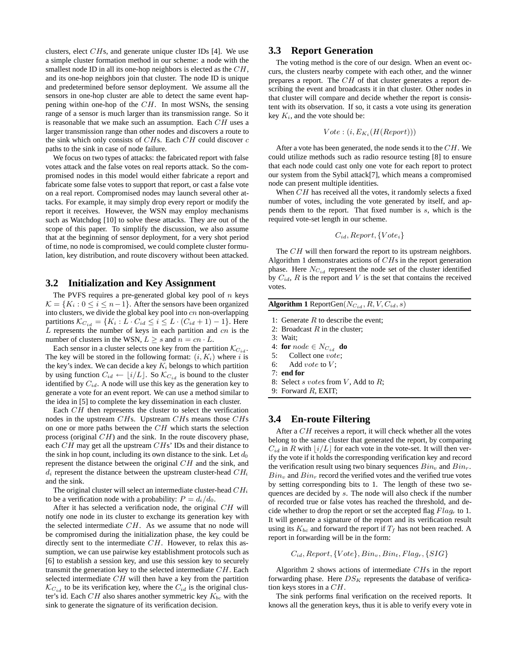clusters, elect *CH*s, and generate unique cluster IDs [4]. We use a simple cluster formation method in our scheme: a node with the smallest node ID in all its one-hop neighbors is elected as the *CH*, and its one-hop neighbors join that cluster. The node ID is unique and predetermined before sensor deployment. We assume all the sensors in one-hop cluster are able to detect the same event happening within one-hop of the *CH*. In most WSNs, the sensing range of a sensor is much larger than its transmission range. So it is reasonable that we make such an assumption. Each *CH* uses a larger transmission range than other nodes and discovers a route to the sink which only consists of *CH*s. Each *CH* could discover *c* paths to the sink in case of node failure.

We focus on two types of attacks: the fabricated report with false votes attack and the false votes on real reports attack. So the compromised nodes in this model would either fabricate a report and fabricate some false votes to support that report, or cast a false vote on a real report. Compromised nodes may launch several other attacks. For example, it may simply drop every report or modify the report it receives. However, the WSN may employ mechanisms such as Watchdog [10] to solve these attacks. They are out of the scope of this paper. To simplify the discussion, we also assume that at the beginning of sensor deployment, for a very shot period of time, no node is compromised, we could complete cluster formulation, key distribution, and route discovery without been attacked.

## **3.2 Initialization and Key Assignment**

The PVFS requires a pre-generated global key pool of *n* keys  $\mathcal{K} = \{K_i : 0 \le i \le n-1\}$ . After the sensors have been organized into clusters, we divide the global key pool into *cn* non-overlapping partitions  $\mathcal{K}_{C_{id}} = \{K_i : L \cdot C_{id} \leq i \leq L \cdot (C_{id} + 1) - 1\}$ . Here *L* represents the number of keys in each partition and *cn* is the number of clusters in the WSN,  $L \geq s$  and  $n = cn \cdot L$ .

Each sensor in a cluster selects one key from the partition  $\mathcal{K}_{C_{id}}$ . The key will be stored in the following format:  $(i, K_i)$  where  $i$  is the key's index. We can decide a key  $K_i$  belongs to which partition by using function  $C_{id} \leftarrow [i/L]$ . So  $\mathcal{K}_{C_{id}}$  is bound to the cluster identified by *Cid*. A node will use this key as the generation key to generate a vote for an event report. We can use a method similar to the idea in [5] to complete the key dissemination in each cluster.

Each *CH* then represents the cluster to select the verification nodes in the upstream *CH*s. Upstream *CH*s means those *CH*s on one or more paths between the *CH* which starts the selection process (original *CH*) and the sink. In the route discovery phase, each *CH* may get all the upstream *CH*s' IDs and their distance to the sink in hop count, including its own distance to the sink. Let  $d_0$ represent the distance between the original *CH* and the sink, and  $d_i$  represent the distance between the upstream cluster-head  $CH_i$ and the sink.

The original cluster will select an intermediate cluster-head *CH<sup>i</sup>* to be a verification node with a probability:  $P = d_i/d_0$ .

After it has selected a verification node, the original *CH* will notify one node in its cluster to exchange its generation key with the selected intermediate *CH*. As we assume that no node will be compromised during the initialization phase, the key could be directly sent to the intermediate *CH*. However, to relax this assumption, we can use pairwise key establishment protocols such as [6] to establish a session key, and use this session key to securely transmit the generation key to the selected intermediate *CH*. Each selected intermediate *CH* will then have a key from the partition  $\mathcal{K}_{C_{id}}$  to be its verification key, where the  $C_{id}$  is the original cluster's id. Each  $CH$  also shares another symmetric key  $K_{bc}$  with the sink to generate the signature of its verification decision.

## **3.3 Report Generation**

The voting method is the core of our design. When an event occurs, the clusters nearby compete with each other, and the winner prepares a report. The *CH* of that cluster generates a report describing the event and broadcasts it in that cluster. Other nodes in that cluster will compare and decide whether the report is consistent with its observation. If so, it casts a vote using its generation key  $K_i$ , and the vote should be:

$$
Vote: (i, E_{K_i}(H(Report)))
$$

After a vote has been generated, the node sends it to the *CH*. We could utilize methods such as radio resource testing [8] to ensure that each node could cast only one vote for each report to protect our system from the Sybil attack[7], which means a compromised node can present multiple identities.

When *CH* has received all the votes, it randomly selects a fixed number of votes, including the vote generated by itself, and appends them to the report. That fixed number is *s*, which is the required vote-set length in our scheme.

$$
C_{id}, Report, \{Vote_i\}
$$

The *CH* will then forward the report to its upstream neighbors. Algorithm 1 demonstrates actions of *CH*s in the report generation phase. Here  $N_{C_{id}}$  represent the node set of the cluster identified by  $C_{id}$ ,  $R$  is the report and  $V$  is the set that contains the received votes.

| <b>Algorithm 1</b> ReportGen $(N_{C_{id}}, R, V, C_{id}, s)$ |  |
|--------------------------------------------------------------|--|
|                                                              |  |

- 1: Generate *R* to describe the event;
- 2: Broadcast *R* in the cluster;
- 3: Wait;
- 4: **for**  $node \in N_{C_{id}}$  **do**
- 5: Collect one *vote*;
- 6: Add *vote* to *V* ;
- 7: **end for**
- 8: Select *s vote*s from *V* , Add to *R*;
- 9: Forward *R*, EXIT;

# **3.4 En-route Filtering**

After a *CH* receives a report, it will check whether all the votes belong to the same cluster that generated the report, by comparing  $C_{id}$  in *R* with  $|i/L|$  for each vote in the vote-set. It will then verify the vote if it holds the corresponding verification key and record the verification result using two binary sequences  $Bin_v$  and  $Bin_r$ .  $Bin_v$  and  $Bin_r$  record the verified votes and the verified true votes by setting corresponding bits to 1. The length of these two sequences are decided by *s*. The node will also check if the number of recorded true or false votes has reached the threshold, and decide whether to drop the report or set the accepted flag *F lag<sup>r</sup>* to 1. It will generate a signature of the report and its verification result using its  $K_{bc}$  and forward the report if  $T_f$  has not been reached. A report in forwarding will be in the form:

$$
C_{id}, Report, \{Vote\}, Bin_v, Bin_t, Flag_r, \{SIG\}
$$

Algorithm 2 shows actions of intermediate *CH*s in the report forwarding phase. Here  $DS_K$  represents the database of verification keys stores in a *CH*.

The sink performs final verification on the received reports. It knows all the generation keys, thus it is able to verify every vote in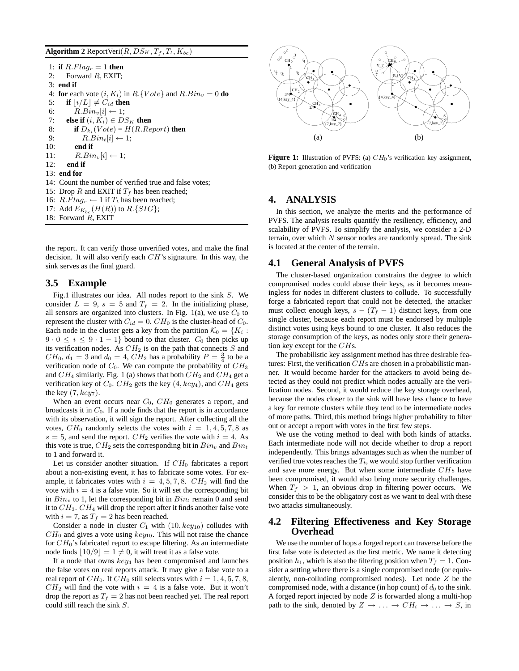Algorithm 2 ReportVeri $(R, DS_K, T_f, T_t, K_{bc})$ 

1: **if**  $R.Flag_r = 1$  **then** 2: Forward *R*, EXIT; 3: **end if** 4: **for** each vote  $(i, K_i)$  in  $R.\{Vote\}$  and  $R.Bin_v = 0$  **do** 5: **if**  $|i/L| \neq C_{id}$  then 6:  $R.Bin_v[i] \leftarrow 1;$ 7: **else if**  $(i, K_i) \in DS_K$  **then** 8: **if**  $D_{k_i}(Vote) = H(R.Report)$  **then** 9:  $R.Bin_t[i] \leftarrow 1;$ 10: **end if** 11:  $R.Bin_v[i] \leftarrow 1;$ 12: **end if** 13: **end for** 14: Count the number of verified true and false votes; 15: Drop *R* and EXIT if  $T_f$  has been reached; 16:  $R. Flag_r \leftarrow 1$  if  $T_t$  has been reached; 17: Add  $E_{K_{bc}}(H(R))$  to  $R.\{SIG\};$ 18: Forward *R*, EXIT

the report. It can verify those unverified votes, and make the final decision. It will also verify each *CH*'s signature. In this way, the sink serves as the final guard.

#### **3.5 Example**

Fig.1 illustrates our idea. All nodes report to the sink *S*. We consider  $L = 9$ ,  $s = 5$  and  $T_f = 2$ . In the initializing phase, all sensors are organized into clusters. In Fig.  $1(a)$ , we use  $C_0$  to represent the cluster with  $C_{id} = 0$ .  $CH_0$  is the cluster-head of  $C_0$ . Each node in the cluster gets a key from the partition  $K_0 = \{K_i :$  $9 \cdot 0 \leq i \leq 9 \cdot 1 - 1$  bound to that cluster.  $C_0$  then picks up its verification nodes. As *CH*<sup>2</sup> is on the path that connects *S* and  $CH_0$ ,  $d_1 = 3$  and  $d_0 = 4$ ,  $CH_2$  has a probability  $P = \frac{3}{4}$  to be a verification node of  $C_0$ . We can compute the probability of  $CH_3$ and  $CH_4$  similarly. Fig. 1 (a) shows that both  $CH_2$  and  $CH_4$  get a verification key of  $C_0$ .  $CH_2$  gets the key  $(4, key_4)$ , and  $CH_4$  gets the key (7*, key*7).

When an event occurs near  $C_0$ ,  $CH_0$  generates a report, and broadcasts it in  $C_0$ . If a node finds that the report is in accordance with its observation, it will sign the report. After collecting all the votes,  $CH_0$  randomly selects the votes with  $i = 1, 4, 5, 7, 8$  as  $s = 5$ , and send the report. *CH*<sub>2</sub> verifies the vote with  $i = 4$ . As this vote is true,  $CH_2$  sets the corresponding bit in  $Bin_v$  and  $Bin_t$ to 1 and forward it.

Let us consider another situation. If  $CH_0$  fabricates a report about a non-existing event, it has to fabricate some votes. For example, it fabricates votes with  $i = 4, 5, 7, 8$ .  $CH<sub>2</sub>$  will find the vote with  $i = 4$  is a false vote. So it will set the corresponding bit in *Bin<sup>v</sup>* to 1, let the corresponding bit in *Bin<sup>t</sup>* remain 0 and send it to  $CH_3$ .  $CH_4$  will drop the report after it finds another false vote with  $i = 7$ , as  $T_f = 2$  has been reached.

Consider a node in cluster  $C_1$  with  $(10, \text{key}_{10})$  colludes with *CH*<sup>0</sup> and gives a vote using *key*10. This will not raise the chance for *CH*0's fabricated report to escape filtering. As an intermediate node finds  $|10/9| = 1 \neq 0$ , it will treat it as a false vote.

If a node that owns *key*<sup>4</sup> has been compromised and launches the false votes on real reports attack. It may give a false vote to a real report of  $CH_0$ . If  $CH_0$  still selects votes with  $i = 1, 4, 5, 7, 8$ ,  $CH_2$  will find the vote with  $i = 4$  is a false vote. But it won't drop the report as  $T_f = 2$  has not been reached yet. The real report could still reach the sink *S*.



Figure 1: Illustration of PVFS: (a)  $CH<sub>0</sub>$ 's verification key assignment, (b) Report generation and verification

# **4. ANALYSIS**

In this section, we analyze the merits and the performance of PVFS. The analysis results quantify the resiliency, efficiency, and scalability of PVFS. To simplify the analysis, we consider a 2-D terrain, over which *N* sensor nodes are randomly spread. The sink is located at the center of the terrain.

#### **4.1 General Analysis of PVFS**

The cluster-based organization constrains the degree to which compromised nodes could abuse their keys, as it becomes meaningless for nodes in different clusters to collude. To successfully forge a fabricated report that could not be detected, the attacker must collect enough keys,  $s - (T_f - 1)$  distinct keys, from one single cluster, because each report must be endorsed by multiple distinct votes using keys bound to one cluster. It also reduces the storage consumption of the keys, as nodes only store their generation key except for the *CH*s.

The probabilistic key assignment method has three desirable features: First, the verification *CH*s are chosen in a probabilistic manner. It would become harder for the attackers to avoid being detected as they could not predict which nodes actually are the verification nodes. Second, it would reduce the key storage overhead, because the nodes closer to the sink will have less chance to have a key for remote clusters while they tend to be intermediate nodes of more paths. Third, this method brings higher probability to filter out or accept a report with votes in the first few steps.

We use the voting method to deal with both kinds of attacks. Each intermediate node will not decide whether to drop a report independently. This brings advantages such as when the number of verified true votes reaches the  $T_t$ , we would stop further verification and save more energy. But when some intermediate *CH*s have been compromised, it would also bring more security challenges. When  $T_f$  > 1, an obvious drop in filtering power occurs. We consider this to be the obligatory cost as we want to deal with these two attacks simultaneously.

# **4.2 Filtering Effectiveness and Key Storage Overhead**

We use the number of hops a forged report can traverse before the first false vote is detected as the first metric. We name it detecting position  $h_1$ , which is also the filtering position when  $T_f = 1$ . Consider a setting where there is a single compromised node (or equivalently, non-colluding compromised nodes). Let node *Z* be the compromised node, with a distance (in hop count) of  $d_0$  to the sink. A forged report injected by node *Z* is forwarded along a multi-hop path to the sink, denoted by  $Z \to \ldots \to CH_i \to \ldots \to S$ , in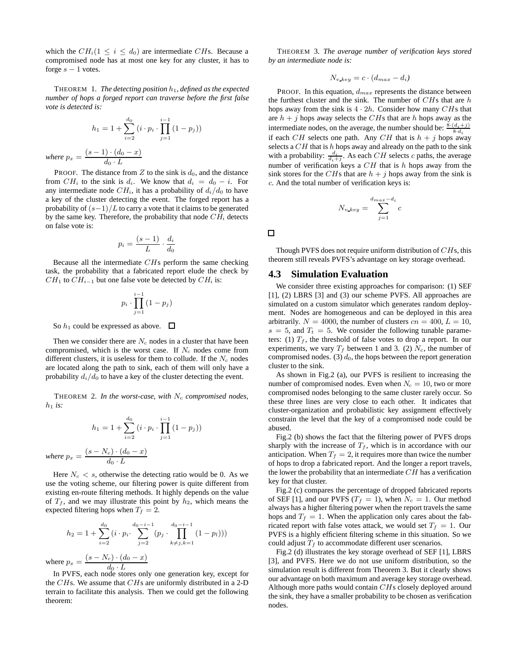which the  $CH_i(1 \leq i \leq d_0)$  are intermediate *CH*s. Because a compromised node has at most one key for any cluster, it has to forge  $s - 1$  votes.

THEOREM 1. *The detecting position h*1*, defined as the expected number of hops a forged report can traverse before the first false vote is detected is:*

$$
h_1 = 1 + \sum_{i=2}^{d_0} (i \cdot p_i \cdot \prod_{j=1}^{i-1} (1 - p_j))
$$
  
where  $p_x = \frac{(s-1) \cdot (d_0 - x)}{d_0 \cdot L}$ 

PROOF. The distance from  $Z$  to the sink is  $d_0$ , and the distance from  $CH_i$  to the sink is  $d_i$ . We know that  $d_i = d_0 - i$ . For any intermediate node  $CH_i$ , it has a probability of  $d_i/d_0$  to have a key of the cluster detecting the event. The forged report has a probability of (*s*−1)*/L* to carry a vote that it claims to be generated by the same key. Therefore, the probability that node *CH<sup>i</sup>* detects on false vote is:

$$
p_i = \frac{(s-1)}{L} \cdot \frac{d_i}{d_0}
$$

Because all the intermediate *CH*s perform the same checking task, the probability that a fabricated report elude the check by *CH*<sub>1</sub> to *CH*<sub>*i*</sub>−1 but one false vote be detected by *CH*<sub>*i*</sub> is:

$$
p_i \cdot \prod_{j=1}^{i-1} (1-p_j)
$$

So  $h_1$  could be expressed as above.  $\Box$ 

Then we consider there are  $N_c$  nodes in a cluster that have been compromised, which is the worst case. If *N<sup>c</sup>* nodes come from different clusters, it is useless for them to collude. If the *N<sup>c</sup>* nodes are located along the path to sink, each of them will only have a probability  $d_i/d_0$  to have a key of the cluster detecting the event.

THEOREM 2. *In the worst-case, with N<sup>c</sup> compromised nodes, h*<sup>1</sup> *is:*

$$
h_1 = 1 + \sum_{i=2}^{d_0} (i \cdot p_i \cdot \prod_{j=1}^{i-1} (1 - p_j))
$$

$$
= \frac{(s - N_c) \cdot (d_0 - x)}{d_0 \cdot L}
$$

Here  $N_c < s$ , otherwise the detecting ratio would be 0. As we use the voting scheme, our filtering power is quite different from existing en-route filtering methods. It highly depends on the value of  $T_f$ , and we may illustrate this point by  $h_2$ , which means the expected filtering hops when  $T_f = 2$ .

$$
h_2 = 1 + \sum_{i=2}^{d_0} (i \cdot p_i \cdot \sum_{j=2}^{d_0 - i - 1} (p_j \cdot \prod_{k \neq j, k=1}^{d_0 - i - 1} (1 - p_l)))
$$

where  $p_x = \frac{(s - N_c) \cdot (d_0 - x)}{d_0 \cdot L}$ 

*where*  $p_x$ 

In PVFS, each node stores only one generation key, except for the *CH*s. We assume that *CH*s are uniformly distributed in a 2-D terrain to facilitate this analysis. Then we could get the following theorem:

THEOREM 3. *The average number of verification keys stored by an intermediate node is:*

$$
N_{v \; key} = c \cdot (d_{max} - d_i)
$$

PROOF. In this equation, *dmax* represents the distance between the furthest cluster and the sink. The number of *CH*s that are *h* hops away from the sink is 4 · 2*h*. Consider how many *CH*s that are  $h + j$  hops away selects the *CH*s that are *h* hops away as the intermediate nodes, on the average, the number should be:  $\frac{8 \cdot (d_i + j)}{8 \cdot d_i}$ if each *CH* selects one path. Any *CH* that is  $h + j$  hops away selects a *CH* that is *h* hops away and already on the path to the sink with a probability:  $\frac{d_i}{d_i+j}$ . As each *CH* selects *c* paths, the average number of verification keys a *CH* that is *h* hops away from the sink stores for the *CH*s that are  $h + j$  hops away from the sink is *c*. And the total number of verification keys is:

$$
N_{v \text{-}key} = \sum_{j=1}^{d_{max} - d_i} c
$$

 $\Box$ 

Though PVFS does not require uniform distribution of *CH*s, this theorem still reveals PVFS's advantage on key storage overhead.

#### **4.3 Simulation Evaluation**

We consider three existing approaches for comparison: (1) SEF [1], (2) LBRS [3] and (3) our scheme PVFS. All approaches are simulated on a custom simulator which generates random deployment. Nodes are homogeneous and can be deployed in this area arbitrarily.  $N = 4000$ , the number of clusters  $cn = 400$ ,  $L = 10$ ,  $s = 5$ , and  $T_t = 5$ . We consider the following tunable parameters: (1)  $T_f$ , the threshold of false votes to drop a report. In our experiments, we vary  $T_f$  between 1 and 3. (2)  $N_c$ , the number of compromised nodes. (3)  $d_0$ , the hops between the report generation cluster to the sink.

As shown in Fig.2 (a), our PVFS is resilient to increasing the number of compromised nodes. Even when  $N_c = 10$ , two or more compromised nodes belonging to the same cluster rarely occur. So these three lines are very close to each other. It indicates that cluster-organization and probabilistic key assignment effectively constrain the level that the key of a compromised node could be abused.

Fig.2 (b) shows the fact that the filtering power of PVFS drops sharply with the increase of  $T_f$ , which is in accordance with our anticipation. When  $T_f = 2$ , it requires more than twice the number of hops to drop a fabricated report. And the longer a report travels, the lower the probability that an intermediate *CH* has a verification key for that cluster.

Fig.2 (c) compares the percentage of dropped fabricated reports of SEF [1], and our PVFS ( $T_f = 1$ ), when  $N_c = 1$ . Our method always has a higher filtering power when the report travels the same hops and  $T_f = 1$ . When the application only cares about the fabricated report with false votes attack, we would set  $T_f = 1$ . Our PVFS is a highly efficient filtering scheme in this situation. So we could adjust *T<sup>f</sup>* to accommodate different user scenarios.

Fig.2 (d) illustrates the key storage overhead of SEF [1], LBRS [3], and PVFS. Here we do not use uniform distribution, so the simulation result is different from Theorem 3. But it clearly shows our advantage on both maximum and average key storage overhead. Although more paths would contain *CH*s closely deployed around the sink, they have a smaller probability to be chosen as verification nodes.